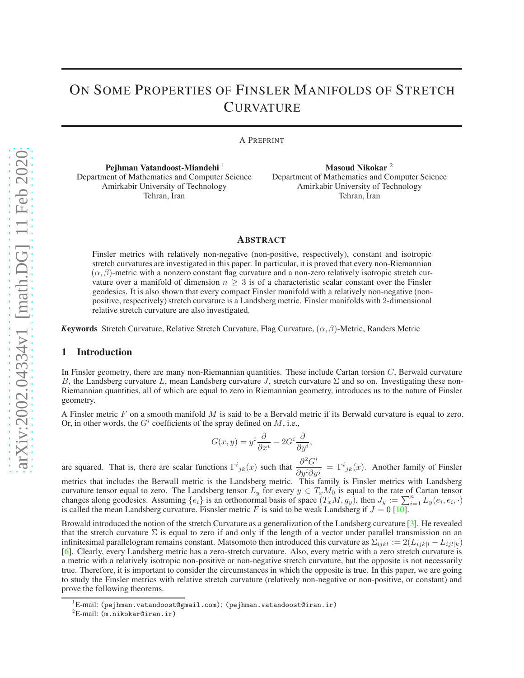# ON SOME PROPERTIES OF FINSLER MANIFOLDS OF STRETCH **CURVATURE**

A PREPRINT

Pejhman Vatandoost-Miandehi<sup>1</sup> Department of Mathematics and Computer Science Amirkabir University of Technology Tehran, Iran

Masoud Nikokar<sup>2</sup> Department of Mathematics and Computer Science Amirkabir University of Technology Tehran, Iran

## **ABSTRACT**

Finsler metrics with relatively non-negative (non-positive, respectively), constant and isotropic stretch curvatures are investigated in this paper. In particular, it is proved that every non-Riemannian  $(\alpha, \beta)$ -metric with a nonzero constant flag curvature and a non-zero relatively isotropic stretch curvature over a manifold of dimension  $n > 3$  is of a characteristic scalar constant over the Finsler geodesics. It is also shown that every compact Finsler manifold with a relatively non-negative (nonpositive, respectively) stretch curvature is a Landsberg metric. Finsler manifolds with 2-dimensional relative stretch curvature are also investigated.

<span id="page-0-0"></span>*Keywords* Stretch Curvature, Relative Stretch Curvature, Flag Curvature,  $(\alpha, \beta)$ -Metric, Randers Metric

#### 1 Introduction

In Finsler geometry, there are many non-Riemannian quantities. These include Cartan torsion  $C$ , Berwald curvature B, the Landsberg curvature L, mean Landsberg curvature J, stretch curvature  $\Sigma$  and so on. Investigating these non-Riemannian quantities, all of which are equal to zero in Riemannian geometry, introduces us to the nature of Finsler geometry.

A Finsler metric  $F$  on a smooth manifold  $M$  is said to be a Bervald metric if its Berwald curvature is equal to zero. Or, in other words, the  $G^i$  coefficients of the spray defined on M, i.e.,

$$
G(x,y) = y^i \frac{\partial}{\partial x^i} - 2G^i \frac{\partial}{\partial y^i},
$$

are squared. That is, there are scalar functions  $\Gamma^{i}{}_{jk}(x)$  such that  $\frac{\partial^{2}G^{i}}{\partial x^{j}\partial y^{j}}$  $\frac{\partial}{\partial y^i \partial y^j} = \Gamma^i_{jk}(x)$ . Another family of Finsler metrics that includes the Berwall metric is the Landsberg metric. This family is Finsler metrics with Landsberg curvature tensor equal to zero. The Landsberg tensor  $L_y$  for every  $y \in T_xM_0$  is equal to the rate of Cartan tensor changes along geodesics. Assuming  $\{e_i\}$  is an orthonormal basis of space  $(T_xM, g_y)$ , then  $J_y := \sum_{i=1}^n L_y(e_i, e_i, \cdot)$ is called the mean Landsberg curvature. Fisnsler metric F is said to be weak Landsberg if  $J = 0$  [\[10\]](#page-7-0).

Browald introduced the notion of the stretch Curvature as a generalization of the Landsberg curvature [\[3\]](#page-7-1). He revealed that the stretch curvature  $\Sigma$  is equal to zero if and only if the length of a vector under parallel transmission on an infinitesimal parallelogram remains constant. Matsomoto then introduced this curvature as  $\Sigma_{ijkl} := 2(L_{ijkl} - L_{ijl|k})$ [\[6\]](#page-7-2). Clearly, every Landsberg metric has a zero-stretch curvature. Also, every metric with a zero stretch curvature is a metric with a relatively isotropic non-positive or non-negative stretch curvature, but the opposite is not necessarily true. Therefore, it is important to consider the circumstances in which the opposite is true. In this paper, we are going to study the Finsler metrics with relative stretch curvature (relatively non-negative or non-positive, or constant) and prove the following theorems.

 $^{\prime}$ E-mail: (pejhman.vatandoost@gmail.com); (pejhman.vatandoost@iran.ir)

 ${}^{2}E$ -mail: (m.nikokar@iran.ir)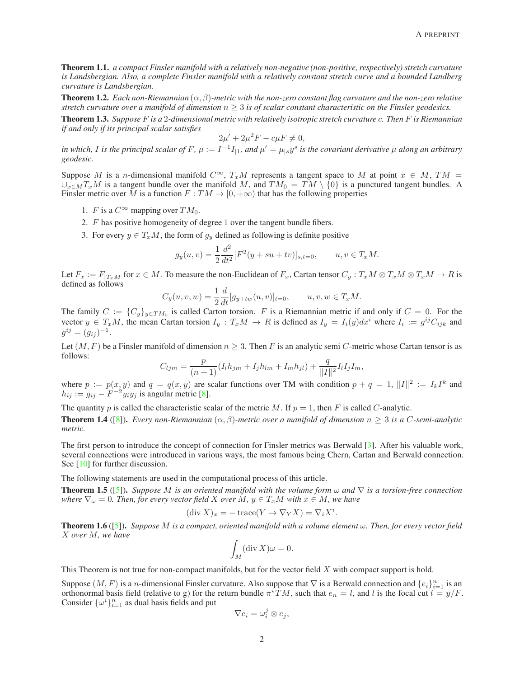<span id="page-1-0"></span>Theorem 1.1. *a compact Finsler manifold with a relatively non-negative (non-positive, respectively) stretch curvature is Landsbergian. Also, a complete Finsler manifold with a relatively constant stretch curve and a bounded Landberg curvature is Landsbergian.*

<span id="page-1-3"></span>**Theorem 1.2.** *Each non-Riemannian*  $(\alpha, \beta)$ *-metric with the non-zero constant flag curvature and the non-zero relative stretch curvature over a manifold of dimension*  $n \geq 3$  *is of scalar constant characteristic on the Finsler geodesics.* 

<span id="page-1-4"></span>Theorem 1.3. *Suppose* F *is a* 2*-dimensional metric with relatively isotropic stretch curvature* c*. Then* F *is Riemannian if and only if its principal scalar satisfies*

$$
2\mu' + 2\mu^2 F - c\mu F \neq 0,
$$

in which, I is the principal scalar of F,  $\mu := I^{-1}I_{|1}$ , and  $\mu' = \mu_{|s}y^s$  is the covariant derivative  $\mu$  along an arbitrary *geodesic.*

Suppose M is a n-dimensional manifold  $C^{\infty}$ ,  $T_xM$  represents a tangent space to M at point  $x \in M$ ,  $TM =$  $\cup_{x\in M}T_xM$  is a tangent bundle over the manifold M, and  $TM_0 = TM \setminus \{0\}$  is a punctured tangent bundles. A Finsler metric over M is a function  $F: TM \to [0, +\infty)$  that has the following properties

- 1. F is a  $C^{\infty}$  mapping over  $TM_0$ .
- 2. F has positive homogeneity of degree 1 over the tangent bundle fibers.
- 3. For every  $y \in T_xM$ , the form of  $g_y$  defined as following is definite positive

$$
g_y(u,v) = \frac{1}{2} \frac{d^2}{dt^2} [F^2(y+su+tv)]_{s,t=0}, \qquad u, v \in T_xM.
$$

Let  $F_x := F_{|T_xM}$  for  $x \in M$ . To measure the non-Euclidean of  $F_x$ , Cartan tensor  $C_y : T_xM \otimes T_xM \otimes T_xM \to R$  is defined as follows

$$
C_y(u, v, w) = \frac{1}{2} \frac{d}{dt} [g_{y+tw}(u, v)]_{t=0}, \qquad u, v, w \in T_xM.
$$

The family  $C := \{C_y\}_{y \in TM_0}$  is called Carton torsion. F is a Riemannian metric if and only if  $C = 0$ . For the vector  $y \in T_xM$ , the mean Cartan torsion  $I_y: T_xM \to R$  is defined as  $I_y = I_i(y)dx^i$  where  $I_i := g^{ij}C_{ijk}$  and  $g^{ij} = (g_{ij})^{-1}.$ 

Let  $(M, F)$  be a Finsler manifold of dimension  $n \geq 3$ . Then F is an analytic semi C-metric whose Cartan tensor is as follows:

$$
C_{ljm} = \frac{p}{(n+1)} (I_l h_{jm} + I_j h_{lm} + I_m h_{jl}) + \frac{q}{\|I\|^2} I_l I_j I_m,
$$

where  $p := p(x, y)$  and  $q = q(x, y)$  are scalar functions over TM with condition  $p + q = 1$ ,  $||I||^2 := I_k I^k$  and  $h_{ij} := g_{ij} - F^{-2} y_i y_j$  is angular metric [\[8\]](#page-7-3).

The quantity p is called the characteristic scalar of the metric M. If  $p = 1$ , then F is called C-analytic.

<span id="page-1-5"></span>**Theorem 1.4** ([\[8\]](#page-7-3)). *Every non-Riemannian*  $(\alpha, \beta)$ *-metric over a manifold of dimension*  $n \geq 3$  *is a C-semi-analytic metric.*

The first person to introduce the concept of connection for Finsler metrics was Berwald [\[3\]](#page-7-1). After his valuable work, several connections were introduced in various ways, the most famous being Chern, Cartan and Berwald connection. See [\[10\]](#page-7-0) for further discussion.

The following statements are used in the computational process of this article.

<span id="page-1-1"></span>Theorem 1.5 ([\[5\]](#page-7-4)). *Suppose* M *is an oriented manifold with the volume form* ω *and* ∇ *is a torsion-free connection where*  $\nabla_{\omega} = 0$ *. Then, for every vector field* X *over* M,  $y \in T_xM$  *with*  $x \in M$ *, we have* 

$$
(\operatorname{div} X)_x = -\operatorname{trace}(Y \to \nabla_Y X) = \nabla_i X^i.
$$

<span id="page-1-2"></span>Theorem 1.6 ([\[5\]](#page-7-4)). *Suppose* M *is a compact, oriented manifold with a volume element* ω*. Then, for every vector field* X *over* M*, we have*

$$
\int_M (\operatorname{div} X)\omega = 0.
$$

This Theorem is not true for non-compact manifolds, but for the vector field  $X$  with compact support is hold.

Suppose  $(M, F)$  is a n-dimensional Finsler curvature. Also suppose that  $\nabla$  is a Berwald connection and  $\{e_i\}_{i=1}^n$  is an orthonormal basis field (relative to g) for the return bundle  $\pi^* TM$ , such that  $e_n = l$ , and l is the focal cut  $l = y/F$ . Consider  $\{\omega^i\}_{i=1}^n$  as dual basis fields and put

$$
\nabla e_i = \omega_i^j \otimes e_j,
$$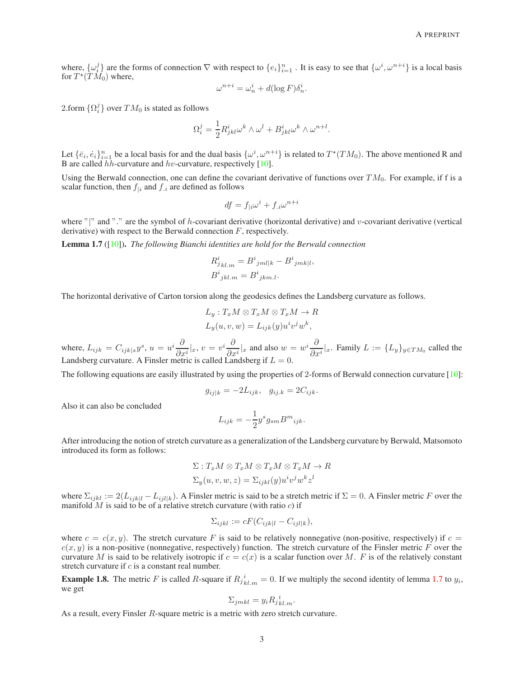where,  $\{\omega_i^j\}$  are the forms of connection  $\nabla$  with respect to  $\{e_i\}_{i=1}^n$ . It is easy to see that  $\{\omega^i, \omega^{n+i}\}$  is a local basis for  $T^*(\tilde{T}\tilde{M_0})$  where,

$$
\omega^{n+i} = \omega_n^i + d(\log F) \delta_n^i.
$$

2.form  $\{\Omega_i^j\}$  over  $TM_0$  is stated as follows

$$
\Omega^j_i = \frac{1}{2} R^i_{jkl} \omega^k \wedge \omega^l + B^i_{jkl} \omega^k \wedge \omega^{n+l}.
$$

Let  $\{\bar{e}_i,\dot{e}_i\}_{i=1}^n$  be a local basis for and the dual basis  $\{\omega^i,\omega^{n+i}\}\$ is related to  $T^*(TM_0)$ . The above mentioned R and B are called  $hh$ -curvature and  $hv$ -curvature, respectively [\[10\]](#page-7-0).

Using the Berwald connection, one can define the covariant derivative of functions over  $TM_0$ . For example, if f is a scalar function, then  $f_{i}$  and  $f_{i}$  are defined as follows

$$
df = f_{|i}\omega^i + f_{i}\omega^{n+i}
$$

where "|" and "." are the symbol of h-covariant derivative (horizontal derivative) and  $v$ -covariant derivative (vertical derivative) with respect to the Berwald connection  $F$ , respectively.

<span id="page-2-0"></span>Lemma 1.7 ([\[10\]](#page-7-0)). *The following Bianchi identities are hold for the Berwald connection*

$$
R_{jkl,m}^i = B^i{}_{jml|k} - B^i{}_{jmk|l}
$$
  

$$
B^i{}_{jkl,m} = B^i{}_{jkm.l}.
$$

,

The horizontal derivative of Carton torsion along the geodesics defines the Landsberg curvature as follows.

$$
L_y: T_xM \otimes T_xM \otimes T_xM \to R
$$
  

$$
L_y(u, v, w) = L_{ijk}(y)u^iv^jw^k,
$$

where,  $L_{ijk} = C_{ijk|s}y^s$ ,  $u = u^i \frac{\partial}{\partial s}$  $\frac{\partial}{\partial x^i}|_x, v = v^i \frac{\partial}{\partial x^i}$  $\frac{\partial}{\partial x^i}|_x$  and also  $w = w^i \frac{\partial}{\partial x^i}$  $\frac{\partial}{\partial x^i}|_x$ . Family  $L := \{L_y\}_{y \in TM_0}$  called the Landsberg curvature. A Finsler metric is called Landsberg if  $L = 0$ .

The following equations are easily illustrated by using the properties of 2-forms of Berwald connection curvature [\[10\]](#page-7-0):

$$
g_{ij|k} = -2L_{ijk}, \quad g_{ij,k} = 2C_{ijk}.
$$

Also it can also be concluded

$$
L_{ijk} = -\frac{1}{2}y^s g_{sm} B^m{}_{ijk}.
$$

After introducing the notion of stretch curvature as a generalization of the Landsberg curvature by Berwald, Matsomoto introduced its form as follows:

$$
\Sigma: T_x M \otimes T_x M \otimes T_x M \otimes T_x M \to R
$$
  

$$
\Sigma_y(u, v, w, z) = \Sigma_{ijkl}(y) u^i v^j w^k z^l
$$

where  $\Sigma_{ijkl} := 2(L_{ijkl} - L_{iilk})$ . A Finsler metric is said to be a stretch metric if  $\Sigma = 0$ . A Finsler metric F over the manifold M is said to be of a relative stretch curvature (with ratio  $c$ ) if

$$
\Sigma_{ijkl} := cF(C_{ijk|l} - C_{ijl|k}),
$$

where  $c = c(x, y)$ . The stretch curvature F is said to be relatively nonnegative (non-positive, respectively) if  $c = c$  $c(x, y)$  is a non-positive (nonnegative, respectively) function. The stretch curvature of the Finsler metric F over the curvature M is said to be relatively isotropic if  $c = c(x)$  is a scalar function over M. F is of the relatively constant stretch curvature if  $c$  is a constant real number.

**Example 1.8.** The metric F is called R-square if  $R_{jkl,m}^{i} = 0$ . If we multiply the second identity of lemma [1.7](#page-2-0) to  $y_i$ , we get

$$
\Sigma_{jmkl} = y_i R_{j\,kl,m}^{\ i}.
$$

As a result, every Finsler R-square metric is a metric with zero stretch curvature.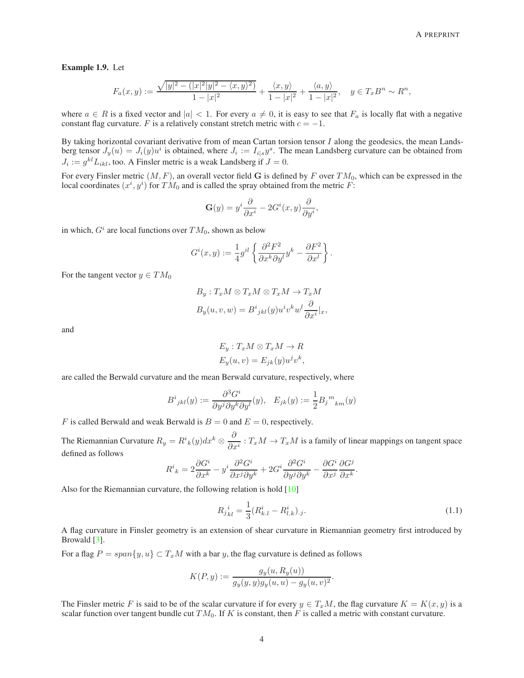<span id="page-3-1"></span>Example 1.9. Let

$$
F_a(x,y) := \frac{\sqrt{|y|^2 - (|x|^2|y|^2 - \langle x, y \rangle^2)}}{1 - |x|^2} + \frac{\langle x, y \rangle}{1 - |x|^2} + \frac{\langle a, y \rangle}{1 - |x|^2}, \quad y \in T_x B^n \sim R^n,
$$

where  $a \in R$  is a fixed vector and  $|a| < 1$ . For every  $a \neq 0$ , it is easy to see that  $F_a$  is locally flat with a negative constant flag curvature. F is a relatively constant stretch metric with  $c = -1$ .

By taking horizontal covariant derivative from of mean Cartan torsion tensor  $I$  along the geodesics, the mean Landsberg tensor  $J_y(u) = J_i(y)u^i$  is obtained, where  $J_i := I_{i|s}y^s$ . The mean Landsberg curvature can be obtained from  $J_i := g^{kl} L_{ikl}$ , too. A Finsler metric is a weak Landsberg if  $J = 0$ .

For every Finsler metric  $(M, F)$ , an overall vector field G is defined by F over  $TM_0$ , which can be expressed in the local coordinates  $(x^i, y^i)$  for  $TM_0$  and is called the spray obtained from the metric F:

$$
\mathbf{G}(y) = y^i \frac{\partial}{\partial x^i} - 2G^i(x, y) \frac{\partial}{\partial y^i},
$$

in which,  $G^i$  are local functions over  $TM_0$ , shown as below

$$
G^{i}(x,y) := \frac{1}{4}g^{il} \left\{ \frac{\partial^{2} F^{2}}{\partial x^{k} \partial y^{l}} y^{k} - \frac{\partial F^{2}}{\partial x^{l}} \right\}.
$$

For the tangent vector  $y \in TM_0$ 

$$
B_y: T_xM \otimes T_xM \otimes T_xM \to T_xM
$$
  

$$
B_y(u, v, w) = B^i{}_{jkl}(y)u^iv^kw^l\frac{\partial}{\partial x^i}|_x,
$$

and

$$
E_y: T_x M \otimes T_x M \to R
$$
  

$$
E_y(u, v) = E_{jk}(y)u^jv^k,
$$

are called the Berwald curvature and the mean Berwald curvature, respectively, where

$$
B^{i}{}_{jkl}(y) := \frac{\partial^{3} G^{i}}{\partial y^{j} \partial y^{k} \partial y^{l}}(y), \quad E_{jk}(y) := \frac{1}{2} B_{j}{}^{m}{}_{km}(y)
$$

F is called Berwald and weak Berwald is  $B = 0$  and  $E = 0$ , respectively.

The Riemannian Curvature  $R_y = R^i{}_k(y) dx^k \otimes \frac{\partial^2}{\partial x^j}$  $\frac{\partial}{\partial x^i}$ :  $T_xM \to T_xM$  is a family of linear mappings on tangent space defined as follows

$$
R^i{}_k = 2\frac{\partial G^i}{\partial x^k} - y^i \frac{\partial^2 G^i}{\partial x^j \partial y^k} + 2G^i \frac{\partial^2 G^i}{\partial y^j \partial y^k} - \frac{\partial G^i}{\partial x^j} \frac{\partial G^j}{\partial x^k}.
$$

Also for the Riemannian curvature, the following relation is hold [\[10\]](#page-7-0)

<span id="page-3-0"></span>
$$
R_{jkl}^{i} = \frac{1}{3} (R_{k,l}^{i} - R_{l,k}^{i})_{.j}.
$$
\n(1.1)

.

A flag curvature in Finsler geometry is an extension of shear curvature in Riemannian geometry first introduced by Browald [\[3\]](#page-7-1).

For a flag  $P = span\{y, u\} \subset T_xM$  with a bar y, the flag curvature is defined as follows

$$
K(P, y) := \frac{g_y(u, R_y(u))}{g_y(y, y)g_y(u, u) - g_y(u, v)^2}
$$

The Finsler metric F is said to be of the scalar curvature if for every  $y \in T_xM$ , the flag curvature  $K = K(x, y)$  is a scalar function over tangent bundle cut  $TM_0$ . If K is constant, then F is called a metric with constant curvature.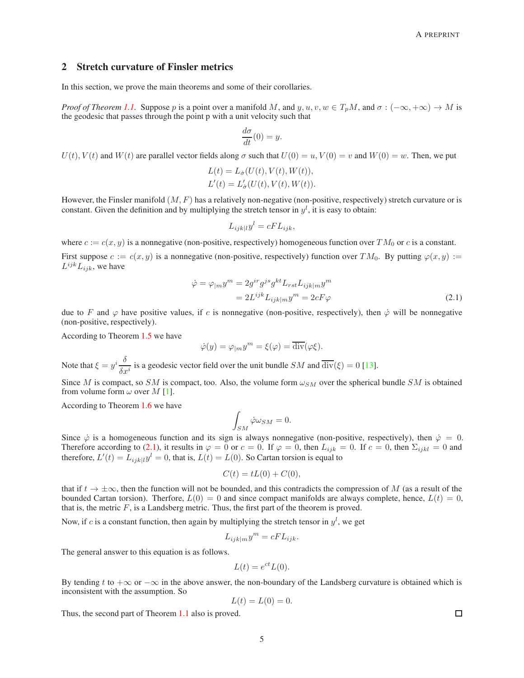## 2 Stretch curvature of Finsler metrics

In this section, we prove the main theorems and some of their corollaries.

*Proof of Theorem [1.1.](#page-1-0)* Suppose p is a point over a manifold M, and  $y, u, v, w \in T_pM$ , and  $\sigma : (-\infty, +\infty) \to M$  is the geodesic that passes through the point p with a unit velocity such that

$$
\frac{d\sigma}{dt}(0) = y.
$$

 $U(t)$ ,  $V(t)$  and  $W(t)$  are parallel vector fields along  $\sigma$  such that  $U(0) = u$ ,  $V(0) = v$  and  $W(0) = w$ . Then, we put

$$
L(t) = L_{\dot{\sigma}}(U(t), V(t), W(t)),
$$
  
\n
$$
L'(t) = L'_{\dot{\sigma}}(U(t), V(t), W(t)).
$$

However, the Finsler manifold  $(M, F)$  has a relatively non-negative (non-positive, respectively) stretch curvature or is constant. Given the definition and by multiplying the stretch tensor in  $y<sup>l</sup>$ , it is easy to obtain:

<span id="page-4-0"></span>
$$
L_{ijk|l}y^l = cFL_{ijk},
$$

where  $c := c(x, y)$  is a nonnegative (non-positive, respectively) homogeneous function over  $TM_0$  or c is a constant. First suppose  $c := c(x, y)$  is a nonnegative (non-positive, respectively) function over  $TM_0$ . By putting  $\varphi(x, y) :=$  $L^{ijk}L_{ijk}$ , we have

$$
\dot{\varphi} = \varphi_{|m} y^m = 2g^{ir} g^{js} g^{kt} L_{rst} L_{ijk|m} y^m
$$

$$
= 2L^{ijk} L_{ijk|m} y^m = 2cF\varphi
$$
(2.1)

due to F and  $\varphi$  have positive values, if c is nonnegative (non-positive, respectively), then  $\dot{\varphi}$  will be nonnegative (non-positive, respectively).

According to Theorem [1.5](#page-1-1) we have

$$
\dot{\varphi}(y) = \varphi_{|m} y^m = \xi(\varphi) = \overline{\text{div}}(\varphi \xi).
$$

Note that  $\xi = y^i \frac{\delta}{\delta}$  $\frac{\delta}{\delta x^i}$  is a geodesic vector field over the unit bundle *SM* and  $\overline{\text{div}}(\xi) = 0$  [\[13\]](#page-7-5).

Since M is compact, so SM is compact, too. Also, the volume form  $\omega_{SM}$  over the spherical bundle SM is obtained from volume form  $\omega$  over M [\[1\]](#page-7-6).

According to Theorem [1.6](#page-1-2) we have

$$
\int_{SM} \dot{\varphi}\omega_{SM} = 0.
$$

Since  $\dot{\varphi}$  is a homogeneous function and its sign is always nonnegative (non-positive, respectively), then  $\dot{\varphi} = 0$ . Therefore according to [\(2.1\)](#page-4-0), it results in  $\varphi = 0$  or  $c = 0$ . If  $\varphi = 0$ , then  $L_{ijk} = 0$ . If  $c = 0$ , then  $\Sigma_{ijkl} = 0$  and therefore,  $L'(t) = L_{ijk|l} y^l = 0$ , that is,  $L(t) = L(0)$ . So Cartan torsion is equal to

$$
C(t) = tL(0) + C(0),
$$

that if  $t \to \pm \infty$ , then the function will not be bounded, and this contradicts the compression of M (as a result of the bounded Cartan torsion). Therfore,  $L(0) = 0$  and since compact manifolds are always complete, hence,  $L(t) = 0$ , that is, the metric  $F$ , is a Landsberg metric. Thus, the first part of the theorem is proved.

Now, if c is a constant function, then again by multiplying the stretch tensor in  $y<sup>l</sup>$ , we get

$$
L_{ijk|m}y^m = cFL_{ijk}.
$$

The general answer to this equation is as follows.

$$
L(t) = e^{ct}L(0).
$$

By tending t to  $+\infty$  or  $-\infty$  in the above answer, the non-boundary of the Landsberg curvature is obtained which is inconsistent with the assumption. So

$$
L(t) = L(0) = 0.
$$

Thus, the second part of Theorem [1.1](#page-1-0) also is proved.

 $\Box$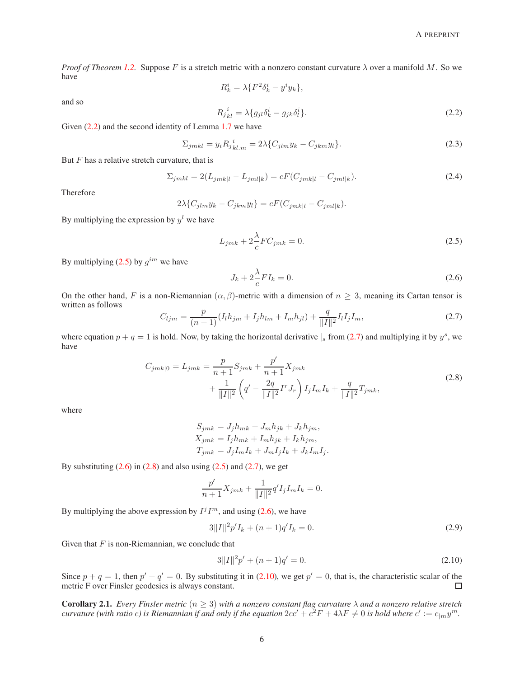*Proof of Theorem [1.2.](#page-1-3)* Suppose F is a stretch metric with a nonzero constant curvature λ over a manifold M. So we have

$$
R_k^i = \lambda \{ F^2 \delta_k^i - y^i y_k \},
$$

and so

<span id="page-5-0"></span>
$$
R_{jkl}^{\ i} = \lambda \{ g_{jl} \delta_k^i - g_{jk} \delta_l^i \}.
$$
\n
$$
(2.2)
$$

Given  $(2.2)$  and the second identity of Lemma [1.7](#page-2-0) we have

$$
\Sigma_{jmkl} = y_i R_j{}^i_{kl,m} = 2\lambda \{ C_{jlm} y_k - C_{jkm} y_l \}.
$$
\n(2.3)

But  $F$  has a relative stretch curvature, that is

<span id="page-5-6"></span>
$$
\Sigma_{jmkl} = 2(L_{jmkl} - L_{jml|k}) = cF(C_{jmkl} - C_{jml|k}).
$$
\n(2.4)

Therefore

$$
2\lambda \{C_{jlm}y_k - C_{jkm}y_l\} = cF(C_{jmk|l} - C_{jml|k}).
$$

By multiplying the expression by  $y<sup>l</sup>$  we have

<span id="page-5-1"></span>
$$
L_{jmk} + 2\frac{\lambda}{c}FC_{jmk} = 0.
$$
\n(2.5)

By multiplying [\(2.5\)](#page-5-1) by  $g^{im}$  we have

<span id="page-5-4"></span><span id="page-5-3"></span>
$$
J_k + 2\frac{\lambda}{c}FI_k = 0.\t\t(2.6)
$$

On the other hand, F is a non-Riemannian  $(\alpha, \beta)$ -metric with a dimension of  $n \geq 3$ , meaning its Cartan tensor is written as follows

<span id="page-5-2"></span>
$$
C_{ljm} = \frac{p}{(n+1)} (I_l h_{jm} + I_j h_{lm} + I_m h_{jl}) + \frac{q}{\|I\|^2} I_l I_j I_m,
$$
\n(2.7)

where equation  $p + q = 1$  is hold. Now, by taking the horizontal derivative  $|s|$  from [\(2.7\)](#page-5-2) and multiplying it by  $y^s$ , we have

$$
C_{jmk|0} = L_{jmk} = \frac{p}{n+1} S_{jmk} + \frac{p'}{n+1} X_{jmk} + \frac{1}{\|I\|^2} \left( q' - \frac{2q}{\|I\|^2} I^r J_r \right) I_j I_m I_k + \frac{q}{\|I\|^2} T_{jmk},
$$
\n(2.8)

where

$$
S_{jmk} = J_j h_{mk} + J_m h_{jk} + J_k h_{jm},
$$
  
\n
$$
X_{jmk} = I_j h_{mk} + I_m h_{jk} + I_k h_{jm},
$$
  
\n
$$
T_{jmk} = J_j I_m I_k + J_m I_j I_k + J_k I_m I_j.
$$

By substituting  $(2.6)$  in  $(2.8)$  and also using  $(2.5)$  and  $(2.7)$ , we get

$$
\frac{p'}{n+1}X_{jmk} + \frac{1}{\|I\|^2}q'I_jI_mI_k = 0.
$$

By multiplying the above expression by  $I^jI^m$ , and using [\(2.6\)](#page-5-3), we have

$$
3||I||^2p'I_k + (n+1)q'I_k = 0.
$$
\n(2.9)

Given that  $F$  is non-Riemannian, we conclude that

<span id="page-5-5"></span>
$$
3||I||^2p' + (n+1)q' = 0.
$$
\n(2.10)

Since  $p + q = 1$ , then  $p' + q' = 0$ . By substituting it in [\(2.10\)](#page-5-5), we get  $p' = 0$ , that is, the characteristic scalar of the metric F over Finsler geodesics is always constant.  $\Box$ 

Corollary 2.1. *Every Finsler metric* (n ≥ 3) *with a nonzero constant flag curvature* λ *and a nonzero relative stretch curvature (with ratio c) is Riemannian if and only if the equation*  $2cc' + c^2F + 4\lambda F \neq 0$  is hold where  $c' := c_{|m}y^m$ .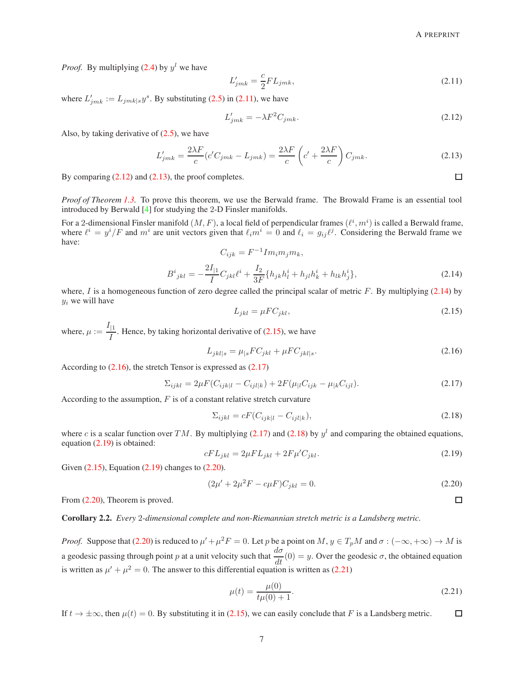*Proof.* By multiplying  $(2.4)$  by  $y<sup>l</sup>$  we have

<span id="page-6-0"></span>
$$
L'_{jmk} = \frac{c}{2} FL_{jmk},\tag{2.11}
$$

where  $L'_{jmk} := L_{jmk|s} y^s$ . By substituting [\(2.5\)](#page-5-1) in [\(2.11\)](#page-6-0), we have

<span id="page-6-1"></span>
$$
L'_{jmk} = -\lambda F^2 C_{jmk}.\tag{2.12}
$$

Also, by taking derivative of [\(2.5\)](#page-5-1), we have

<span id="page-6-2"></span>
$$
L'_{jmk} = \frac{2\lambda F}{c} (c'C_{jmk} - L_{jmk}) = \frac{2\lambda F}{c} \left( c' + \frac{2\lambda F}{c} \right) C_{jmk}.
$$
 (2.13)

By comparing  $(2.12)$  and  $(2.13)$ , the proof completes.

*Proof of Theorem [1.3.](#page-1-4)* To prove this theorem, we use the Berwald frame. The Browald Frame is an essential tool introduced by Berwald [\[4\]](#page-7-7) for studying the 2-D Finsler manifolds.

For a 2-dimensional Finsler manifold  $(M, F)$ , a local field of perpendicular frames  $(\ell^i, m^i)$  is called a Berwald frame, where  $\ell^i = y^i/F$  and  $m^i$  are unit vectors given that  $\ell_i m^i = 0$  and  $\ell_i = g_{ij}\ell^j$ . Considering the Berwald frame we have:  $-1\tau$ 

<span id="page-6-3"></span>
$$
C_{ijk} = F^{-1} Im_i m_j m_k,
$$
  
\n
$$
B^i_{jkl} = -\frac{2I_{|1}}{I} C_{jkl} \ell^i + \frac{I_2}{3F} \{h_{jk} h_l^i + h_{jl} h_k^i + h_{lk} h_j^i\},
$$
\n(2.14)

where, I is a homogeneous function of zero degree called the principal scalar of metric F. By multiplying  $(2.14)$  by  $y_i$  we will have

<span id="page-6-4"></span>
$$
L_{jkl} = \mu F C_{jkl},\tag{2.15}
$$

where,  $\mu := \frac{I_{|1}}{I}$  $\frac{1}{I}$ . Hence, by taking horizontal derivative of [\(2.15\)](#page-6-4), we have

<span id="page-6-5"></span>
$$
L_{jkl|s} = \mu_{|s}FC_{jkl} + \mu FC_{jkl|s}.\tag{2.16}
$$

According to [\(2.16\)](#page-6-5), the stretch Tensor is expressed as [\(2.17\)](#page-6-6)

<span id="page-6-6"></span>
$$
\Sigma_{ijkl} = 2\mu F (C_{ijkl} - C_{ijl|k}) + 2F (\mu_{|l} C_{ijk} - \mu_{|k} C_{ijl}). \tag{2.17}
$$

According to the assumption,  $F$  is of a constant relative stretch curvature

<span id="page-6-7"></span>
$$
\Sigma_{ijkl} = cF(C_{ijkl} - C_{ijl|k}),\tag{2.18}
$$

where c is a scalar function over TM. By multiplying [\(2.17\)](#page-6-6) and [\(2.18\)](#page-6-7) by  $y<sup>l</sup>$  and comparing the obtained equations, equation [\(2.19\)](#page-6-8) is obtained:

<span id="page-6-8"></span>
$$
cFL_{jkl} = 2\mu FL_{jkl} + 2F\mu' C_{jkl}.
$$
\n(2.19)

Given [\(2.15\)](#page-6-4), Equation [\(2.19\)](#page-6-8) changes to [\(2.20\)](#page-6-9).

<span id="page-6-9"></span>
$$
(2\mu' + 2\mu^2 F - c\mu F)C_{jkl} = 0.
$$
\n(2.20)

From [\(2.20\)](#page-6-9), Theorem is proved.

Corollary 2.2. *Every* 2*-dimensional complete and non-Riemannian stretch metric is a Landsberg metric.*

*Proof.* Suppose that [\(2.20\)](#page-6-9) is reduced to  $\mu' + \mu^2 F = 0$ . Let p be a point on  $M, y \in T_pM$  and  $\sigma : (-\infty, +\infty) \to M$  is a geodesic passing through point p at a unit velocity such that  $\frac{d\sigma}{dt}(0) = y$ . Over the geodesic  $\sigma$ , the obtained equation is written as  $\mu' + \mu^2 = 0$ . The answer to this differential equation is written as [\(2.21\)](#page-6-10)

<span id="page-6-10"></span>
$$
\mu(t) = \frac{\mu(0)}{t\mu(0) + 1}.
$$
\n(2.21)

If  $t \to \pm \infty$ , then  $\mu(t) = 0$ . By substituting it in [\(2.15\)](#page-6-4), we can easily conclude that F is a Landsberg metric.

 $\Box$ 

 $\Box$ 

 $\Box$